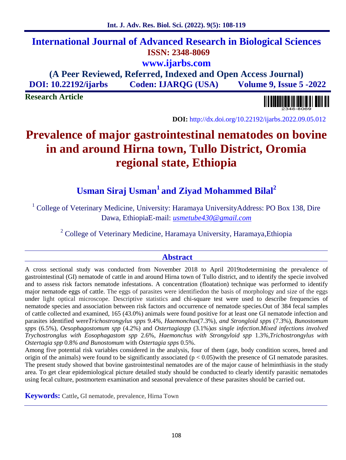## **International Journal of Advanced Research in Biological Sciences ISSN: 2348-8069 www.ijarbs.com (A Peer Reviewed, Referred, Indexed and Open Access Journal)**

**DOI: 10.22192/ijarbs Coden: IJARQG (USA) Volume 9, Issue 5 -2022**

**Research Article**

**DOI:** http://dx.doi.org/10.22192/ijarbs.2022.09.05.012

# **Prevalence of major gastrointestinal nematodes on bovine in and around Hirna town, Tullo District, Oromia regional state, Ethiopia**

## **Usman Siraj Usman<sup>1</sup> and Ziyad Mohammed Bilal<sup>2</sup>**

<sup>1</sup> College of Veterinary Medicine, University: Haramaya UniversityAddress: PO Box 138, Dire Dawa, EthiopiaE-mail: *usmetube430@gmail.com*

<sup>2</sup> College of Veterinary Medicine, Haramaya University, Haramaya,Ethiopia

## **Abstract**

A cross sectional study was conducted from November 2018 to April 2019todetermining the prevalence of gastrointestinal (GI) nematode of cattle in and around Hirna town of Tullo district, and to identify the specie involved and to assess risk factors nematode infestations. A concentration (floatation) technique was performed to identify major nematode eggs of cattle. The eggs of parasites were identifiedon the basis of morphology and size of the eggs under light optical microscope. Descriptive statistics and chi-square test were used to describe frequencies of nematode species and association between risk factors and occurrence of nematode species.Out of 384 fecal samples of cattle collected and examined, 165 (43.0%) animals were found positive for at least one GI nematode infection and parasites identified were*Trichostrongylus spps* 9.4*%, Haemonchus*(7.3%), *and Strongloid spps* (7.3%), *Bunostomum spps* (6.5%), *Oesophagostomum spp* (4.2%) and *Ostertagiaspp* (3.1%)*as single infection*.*Mixed infections involved Trychostronglus with Eosophagastom spp* 2.6%, *Haemonchus with Strongyloid spp* 1.3*%,Trichostrongylus with Ostertagia spp* 0.8*% and Bunostomum* with *Ostertagia spps* 0.5%.

Among five potential risk variables considered in the analysis, four of them (age, body condition scores, breed and origin of the animals) were found to be significantly associated  $(p < 0.05)$  with the presence of GI nematode parasites. The present study showed that bovine gastrointestinal nematodes are of the major cause of helminthiasis in the study area. To get clear epidemiological picture detailed study should be conducted to clearly identify parasitic nematodes using fecal culture, postmortem examination and seasonal prevalence of these parasites should be carried out.

**Keywords:** Cattle**,** GI nematode, prevalence, Hirna Town

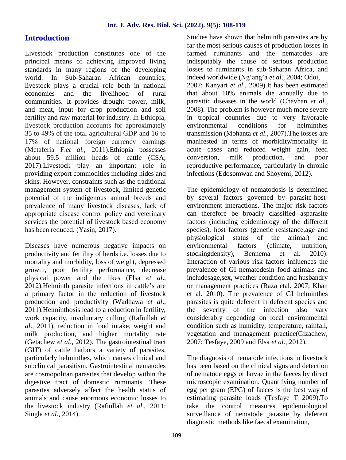## **Introduction**

Livestock production constitutes one of the principal means of achieving improved living standards in many regions of the developing world. In Sub-Saharan African countries, livestock plays a crucial role both in national economies and the livelihood of rural communities. It provides drought power, milk, and meat, input for crop production and soil fertility and raw material for industry. In Ethiopia, livestock production accounts for approximately 35 to 49% of the total agricultural GDP and 16 to 17% of national foreign currency earnings (Metaferia F.*et al.,* 2011).Ethiopia possesses about 59.5 million heads of cattle (CSA, 2017).Livestock play an important role in providing export commodities including hides and skins. However, constraints such as the traditional management system of livestock, limited genetic potential of the indigenous animal breeds and prevalence of many livestock diseases, lack of appropriate disease control policy and veterinary services the potential of livestock based economy has been reduced. (Yasin, 2017).

Diseases have numerous negative impacts on productivity and fertility of herds i.e. losses due to mortality and morbidity, loss of weight, depressed growth, poor fertility performance, decrease physical power and the likes (Elsa *et al*., 2012).Helminth parasite infections in cattle's are a primary factor in the reduction of livestock production and productivity (Wadhawa *et al*., 2011).Helminthosis lead to a reduction in fertility, work capacity, involuntary culling (Rafiullah *et al*., 2011), reduction in food intake, weight and milk production, and higher mortality rate (Getachew *et al*., 2012). The gastrointestinal tract (GIT) of cattle harbors a variety of parasites, particularly helminthes, which causes clinical and subclinical parasitism. Gastrointestinal nematodes are cosmopolitan parasites that develop within the digestive tract of domestic ruminants. These parasites adversely affect the health status of animals and cause enormous economic losses to the livestock industry (Rafiullah *et al*., 2011; Singla *et al*., 2014).

Studies have shown that helminth parasites are by far the most serious causes of production losses in farmed ruminants and the nematodes are indisputably the cause of serious production losses to ruminants in sub-Saharan Africa, and indeed worldwide (Ng'ang'a *et al*., 2004; Odoi, 2007; Kanyari *et al*., 2009).It has been estimated that about 10% animals die annually due to parasitic diseases in the world (Chavhan *et al*., 2008). The problem is however much more severe in tropical countries due to very favorable environmental conditions for helminthes transmission (Mohanta *et al*., 2007).The losses are manifested in terms of morbidity/mortality in acute cases and reduced weight gain, feed conversion, milk production, and poor reproductive performance, particularly in chronic infections (Edosomwan and Shoyemi, 2012).

The epidemiology of nematodosis is determined by several factors governed by parasite-host environment interactions. The major risk factors can therefore be broadly classified asparasite factors (including epidemiology of the different species), host factors (genetic resistance,age and physiological status of the animal) and environmental factors (climate, nutrition, stockingdensity), Bennema et al. 2010). Interaction of various risk factors influences the prevalence of GI nematodesin food animals and includesage,sex, weather condition and husbandry or management practices (Raza etal. 2007; Khan et al. 2010). The prevalence of GI helminthes parasites is quite deferent in deferent species and the severity of the infection also vary considerably depending on local environmental condition such as humidity, temperature, rainfall, vegetation and management practice(Gizachew, 2007; Tesfaye, 2009 and Elsa *et al.,* 2012).

The diagnosis of nematode infections in livestock has been based on the clinical signs and detection of nematode eggs or larvae in the faeces by direct microscopic examination. Quantifying number of egg per gram (EPG) of faeces is the best way of estimating parasite loads (Tesfaye T 2009).To take the control measures epidemiological surveillance of nematode parasite by deferent diagnostic methods like faecal examination,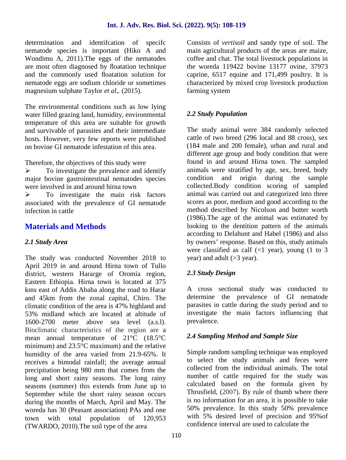#### **Int. J. Adv. Res. Biol. Sci. (2022). 9(5): 108-119**

determination and identifcation of specifc nematode species is important (Hiko A and Wondimu A, 2011).The eggs of the nematodes are most often diagnosed by floatation technique and the commonly used floatation solution for nematode eggs are sodium chloride or sometimes magnesium sulphate Taylor *et al,.* (2015).

The environmental conditions such as low lying water filled grazing land, humidity, environmental temperature of this area are suitable for growth and survivable of parasites and their intermediate hosts. However, very few reports were published on bovine GI nematode infestation of this area.

Therefore, the objectives of this study were

 $\triangleright$  To investigate the prevalence and identify major bovine gastrointestinal nematodes species were involved in and around hirna town

 $\triangleright$  To investigate the main risk factors associated with the prevalence of GI nematode infection in cattle

## **Materials and Methods**

#### *2.1 Study Area*

The study was conducted November 2018 to April 2019 in and around Hirna town of Tullo district, western Hararge of Oromia region, Eastern Ethiopia. Hirna town is located at 375 kms east of Addis Ababa along the road to Harar and 45km from the zonal capital, Chiro. The climatic condition of the area is 47% highland and 53% midland which are located at altitude of 1600-2700 meter above sea level (a.s.l). Bioclimatic characteristics of the region are a mean annual temperature of 21°C (18.5°C minimum) and 23.5°C maximum) and the relative humidity of the area varied from 21.9-65%. It receives a bimodal rainfall; the average annual precipitation being 980 mm that comes from the long and short rainy seasons. The long rainy seasons (summer) this extends from June up to September while the short rainy season occurs during the months of March, April and May. The woreda has 30 (Peasant association) PAs and one town with total population of 120,953 (TWARDO, 2010).The soil type of the area

Consists of *vertisoil* and sandy type of soil. The main agricultural products of the areas are maize, coffee and chat. The total livestock populations in the woreda 119422 bovine 13177 ovine*,* 37973 caprine, 6517 equine and 171,499 poultry. It is characterized by mixed crop livestock production farming system

#### *2.2 Study Population*

The study animal were 384 randomly selected cattle of two breed (296 local and 88 cross), sex (184 male and 200 female), urban and rural and different age group and body condition that were found in and around Hirna town. The sampled animals were stratified by age, sex, breed, body condition and origin during the sample collected.Body condition scoring of sampled animal was carried out and categorized into three scores as poor, medium and good according to the method described by Nicolson and butter worth (1986).The age of the animal was estimated by looking to the dentition pattern of the animals according to Delahunt and Habel (1986) and also by owners' response. Based on this, study animals were classified as calf  $\left($  <1 year), young  $\left($ 1 to 3 year) and adult (>3 year).

#### *2.3 Study Design*

A cross sectional study was conducted to determine the prevalence of GI nematode parasites in cattle during the study period and to investigate the main factors influencing that prevalence.

#### *2.4 Sampling Method and Sample Size*

Simple random sampling technique was employed to select the study animals and feces were collected from the individual animals. The total number of cattle required for the study was calculated based on the formula given by Thrusfield, (2007). By rule of thumb where there is no information for an area, it is possible to take 50% prevalence. In this study 50% prevalence with 5% desired level of precision and 95%of confidence interval are used to calculate the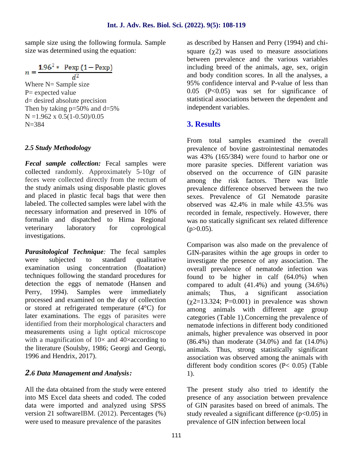sample size using the following formula. Sample size was determined using the equation:

$$
n = \frac{1.96^{2} * \text{Pexp} (1 - \text{Pexp})}{d^{2}}
$$
  
Where N= Sample size  
P= expected value  
d= desired absolute precision  
Then by taking p=50% and d=5%  
N=1.962 x 0.5(1-0.50)/0.05

## *2.5 Study Methodology*

*Fecal sample collection:* Fecal samples were collected randomly. Approximately 5-10gr of feces were collected directly from the rectum of the study animals using disposable plastic gloves and placed in plastic fecal bags that were then labeled. The collected samples were label with the necessary information and preserved in 10% of formalin and dispatched to Hirna Regional veterinary laboratory for coprological investigations.

*Parasitological Technique:* The fecal samples were subjected to standard qualitative examination using concentration (floatation) techniques following the standard procedures for detection the eggs of nematode (Hansen and Perry, 1994). Samples were immediately animals; processed and examined on the day of collection or stored at refrigerated temperature (4°C) for later examinations. The eggs of parasites were identified from their morphological characters and measurements using a light optical microscope with a magnification of  $10\times$  and  $40\times$ according to the literature (Soulsby, 1986; Georgi and Georgi, 1996 and Hendrix, 2017).

#### *2.6 Data Management and Analysis:*

All the data obtained from the study were entered into MS Excel data sheets and coded. The coded data were imported and analyzed using SPSS version 21 softwareIBM. (2012). Percentages (%) were used to measure prevalence of the parasites

as described by Hansen and Perry (1994) and chi square  $(\chi^2)$  was used to measure associations between prevalence and the various variables including breed of the animals, age, sex, origin and body condition scores. In all the analyses, a 95% confidence interval and P-value of less than 0.05 (P<0.05) was set for significance of statistical associations between the dependent and independent variables.

## **3. Results**

From total samples examined the overall prevalence of bovine gastrointestinal nematodes was 43% (165/384) were found to harbor one or more parasite species. Different variation was observed on the occurrence of GIN parasite among the risk factors. There was little prevalence difference observed between the two sexes. Prevalence of GI Nematode parasite observed was 42.4% in male while 43.5% was recorded in female, respectively. However, there was no statically significant sex related difference  $(p>0.05)$ .

Comparison was also made on the prevalence of GIN-parasites within the age groups in order to investigate the presence of any association. The overall prevalence of nematode infection was found to be higher in calf (64.0%) when compared to adult  $(41.4\%)$  and young  $(34.6\%)$ Thus, a significant association  $(\gamma 2=13.324; P=0.001)$  in prevalence was shown among animals with different age group categories (Table 1).Concerning the prevalence of nematode infections in different body conditioned animals, higher prevalence was observed in poor (86.4%) than moderate (34.0%) and fat (14.0%) animals. Thus, strong statistically significant association was observed among the animals with different body condition scores (P< 0.05) (Table 1).

The present study also tried to identify the presence of any association between prevalence of GIN parasites based on breed of animals. The study revealed a significant difference  $(p<0.05)$  in prevalence of GIN infection between local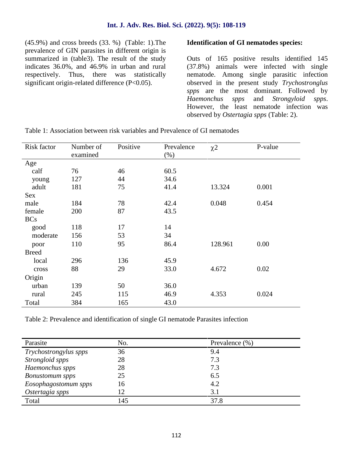(45.9%) and cross breeds (33. %) (Table: 1).The prevalence of GIN parasites in different origin is summarized in (table3). The result of the study indicates 36.0%, and 46.9% in urban and rural respectively. Thus, there was statistically significant origin-related difference (P<0.05).

#### **Identification of GI nematodes species:**

Outs of 165 positive results identified 145 (37.8%) animals were infected with single nematode. Among single parasitic infection observed in the present study *Trychostronglus spps* are the most dominant. Followed by *Haemonchus spps* and *Strongyloid spps*. However, the least nematode infection was observed by *Ostertagia spps* (Table: 2).

| Risk factor  | Number of<br>examined | Positive | Prevalence<br>$(\%)$ | $\chi$ <sup>2</sup> | P-value |
|--------------|-----------------------|----------|----------------------|---------------------|---------|
| Age          |                       |          |                      |                     |         |
| calf         | 76                    | 46       | 60.5                 |                     |         |
| young        | 127                   | 44       | 34.6                 |                     |         |
| adult        | 181                   | 75       | 41.4                 | 13.324              | 0.001   |
| <b>Sex</b>   |                       |          |                      |                     |         |
| male         | 184                   | 78       | 42.4                 | 0.048               | 0.454   |
| female       | 200                   | 87       | 43.5                 |                     |         |
| <b>BCs</b>   |                       |          |                      |                     |         |
| good         | 118                   | 17       | 14                   |                     |         |
| moderate     | 156                   | 53       | 34                   |                     |         |
| poor         | 110                   | 95       | 86.4                 | 128.961             | 0.00    |
| <b>Breed</b> |                       |          |                      |                     |         |
| local        | 296                   | 136      | 45.9                 |                     |         |
| cross        | 88                    | 29       | 33.0                 | 4.672               | 0.02    |
| Origin       |                       |          |                      |                     |         |
| urban        | 139                   | 50       | 36.0                 |                     |         |
| rural        | 245                   | 115      | 46.9                 | 4.353               | 0.024   |
| Total        | 384                   | 165      | 43.0                 |                     |         |

Table 1: Association between risk variables and Prevalence of GI nematodes

Table 2: Prevalence and identification of single GI nematode Parasites infection

| Parasite               | No. | Prevalence (%) |
|------------------------|-----|----------------|
| Trychostrongylus spps  | 36  | 9.4            |
| Strongloid spps        | 28  | 7.3            |
| Haemonchus spps        | 28  | 7.3            |
| <b>Bonustomum</b> spps | 25  | 6.5            |
| Eosophagostomum spps   | 16  | 4.2            |
| Ostertagia spps        | 12  | 3.1            |
| Total                  | 145 | 37.8           |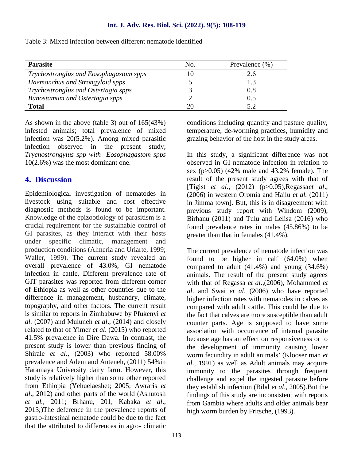#### **Int. J. Adv. Res. Biol. Sci. (2022). 9(5): 108-119**

Table 3: Mixed infection between different nematode identified

| <b>Parasite</b>                        | No. | Prevalence $(\%)$ |
|----------------------------------------|-----|-------------------|
| Trychostronglus and Eosophagastom spps | 10  | 2.6               |
| Haemonchus and Strongyloid spps        |     | 1.3               |
| Trychostronglus and Ostertagia spps    |     | 0.8               |
| Bunostamum and Ostertagia spps         |     | 0.5               |
| <b>Total</b>                           | 20  | 5.2               |

As shown in the above (table 3) out of 165(43%) infested animals; total prevalence of mixed infection was 20(5.2%). Among mixed parasitic infection observed in the present study; *Trychostrongylus spp with Eosophagastom spps* 10(2.6%) was the most dominant one.

## **4. Discussion**

Epidemiological investigation of nematodes in livestock using suitable and cost effective diagnostic methods is found to be important. Knowledge of the epizootiology of parasitism is a crucial requirement for the sustainable control of GI parasites, as they interact with their hosts under specific climatic, management and production conditions (Almeria and Uriarte, 1999; Waller, 1999). The current study revealed an overall prevalence of 43.0%, GI nematode infection in cattle. Different prevalence rate of GIT parasites was reported from different corner of Ethiopia as well as other countries due to the difference in management, husbandry, climate, topography, and other factors. The current result is similar to reports in Zimbabuwe by Pfukenyi *et al.* (2007) and Muluneh *et al*., (2014) and closely related to that of Yimer *et al*. (2015) who reported 41.5% prevalence in Dire Dawa. In contrast, the present study is lower than previous finding of Shirale *et al.,* (2003) who reported 58.00% prevalence and Adem and Anteneh, (2011) 54%in Haramaya University dairy farm. However, this study is relatively higher than some other reported from Ethiopia (Yehuelaeshet; 2005; Awraris *et al*., 2012) and other parts of the world (Ashutosh *et al.,* 2011; Brhanu, 201; Kabaka *et al*., 2013;)The deference in the prevalence reports of gastro-intestinal nematode could be due to the fact that the attributed to differences in agro- climatic

conditions including quantity and pasture quality, temperature, de-worming practices, humidity and grazing behavior of the host in the study areas.

In this study, a significant difference was not observed in GI nematode infection in relation to sex (p>0.05) (42% male and 43.2% female). The result of the present study agrees with that of [Tigist *et al*., (2012) (p>0.05),Regassa*et al*., (2006) in western Oromia and Hailu *et al.* (2011) in Jimma town]. But, this is in disagreement with previous study report with Windom (2009), Birhanu (2011) and Tulu and Lelisa (2016) who found prevalence rates in males (45.86%) to be greater than that in females (41.4%).

The current prevalence of nematode infection was found to be higher in calf (64.0%) when compared to adult  $(41.4\%)$  and young  $(34.6\%)$ animals. The result of the present study agrees with that of Regassa *et al*.,(2006), Mohammed *et al*. and Swai *et al*. (2006) who have reported higher infection rates with nematodes in calves as compared with adult cattle. This could be due to the fact that calves are more susceptible than adult counter parts. Age is supposed to have some association with occurrence of internal parasite because age has an effect on responsiveness or to the development of immunity causing lower worm fecundity in adult animals' (Klooser man *et al*., 1991) as well as Adult animals may acquire immunity to the parasites through frequent challenge and expel the ingested parasite before they establish infection (Bilal *et al*., 2005).But the findings of this study are inconsistent with reports from Gambia where adults and older animals bear high worm burden by Fritsche, (1993).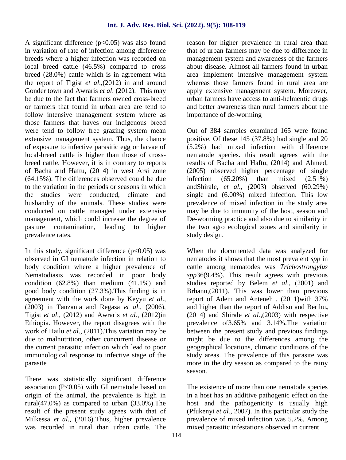A significant difference  $(p<0.05)$  was also found in variation of rate of infection among difference breeds where a higher infection was recorded on local breed cattle (46.5%) compared to cross breed (28.0%) cattle which is in agreement with the report of Tigist *et al*.,(2012) in and around Gonder town and Awraris *et al*. (2012). This may be due to the fact that farmers owned cross-breed or farmers that found in urban area are tend to follow intensive management system where as those farmers that haves our indigenous breed were tend to follow free grazing system mean extensive management system. Thus, the chance of exposure to infective parasitic egg or larvae of local-breed cattle is higher than those of cross breed cattle. However, it is in contrary to reports of Bacha and Haftu, (2014) in west Arsi zone (64.15%). The differences observed could be due to the variation in the periods or seasons in which the studies were conducted, climate and husbandry of the animals. These studies were conducted on cattle managed under extensive management, which could increase the degree of pasture contamination, leading to higher prevalence rates.

In this study, significant difference  $(p<0.05)$  was observed in GI nematode infection in relation to body condition where a higher prevalence of Nematodiasis was recorded in poor body condition (62.8%) than medium (41.1%) and good body condition (27.3%).This finding is in agreement with the work done by Keyyu *et al*., (2003) in Tanzania and Regasa *et al*., (2006), Tigist *et al*., (2012) and Awraris *et al*., (2012)in Ethiopia. However, the report disagrees with the work of Hailu *et al*., (2011).This variation may be due to malnutrition, other concurrent disease or the current parasitic infection which lead to poor immunological response to infective stage of the parasite

There was statistically significant difference association  $(P<0.05)$  with GI nematode based on origin of the animal, the prevalence is high in rural(47.0%) as compared to urban (33.0%).The result of the present study agrees with that of Milkessa *et al*., (2016).Thus, higher prevalence was recorded in rural than urban cattle. The reason for higher prevalence in rural area than that of urban farmers may be due to difference in management system and awareness of the farmers about disease. Almost all farmers found in urban area implement intensive management system whereas those farmers found in rural area are apply extensive management system. Moreover, urban farmers have access to anti-helmentic drugs and better awareness than rural farmers about the importance of de-worming

Out of 384 samples examined 165 were found positive. Of these 145 (37.8%) had single and 20 (5.2%) had mixed infection with difference nematode species. this result agrees with the results of Bacha and Haftu, (2014) and Ahmed, (2005) observed higher percentage of single  $(65.20%)$  than mixed  $(2.51%)$ andShirale, *et al., (*2003) observed (60.29%) single and (6.00%) mixed infection. This low prevalence of mixed infection in the study area may be due to immunity of the host, season and De-worming practice and also due to similarity in the two agro ecological zones and similarity in study design.

When the documented data was analyzed for nematodes it shows that the most prevalent *spp* in cattle among nematodes was *Trichostrongylus spp*36(9.4%). This result agrees with previous studies reported by Belem *et al*., (2001) and Brhanu,(2011). This was lower than previous report of Adem and Anteneh , (2011)with 37% and higher than the report of Addisu and Berihu**, (**2014) and Shirale *et al.,*(2003) with respective prevalence of3.65% and 3.14%.The variation between the present study and previous findings might be due to the differences among the geographical locations, climatic conditions of the study areas. The prevalence of this parasite was more in the dry season as compared to the rainy season.

The existence of more than one nematode species in a host has an additive pathogenic effect on the host and the pathogenicity is usually high (Pfukenyi *et al.,* 2007). In this particular study the prevalence of mixed infection was 5.2%. Among mixed parasitic infestations observed in current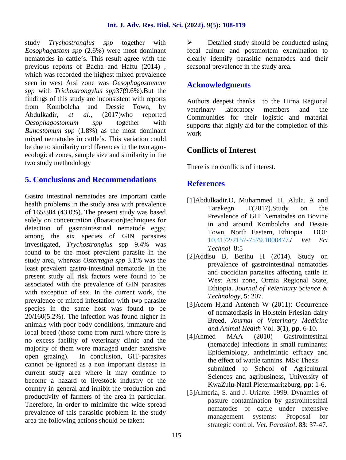study *Trychostronglus spp* together with *Eosophagastom spp* (2.6%) were most dominant nematodes in cattle's. This result agree with the previous reports of Bacha and Haftu (2014) , which was recorded the highest mixed prevalence seen in west Arsi zone was *Oesophagostomum spp* with *Trichostrongylus spp*37(9.6%).But the findings of this study are inconsistent with reports from Kombolcha and Dessie Town, by reterinary Abdulkadir, *et al*., (2017)who reported *Oesophagostomum spp* together with *Bunostomum spp* (1.8%) as the most dominant mixed nematodes in cattle's. This variation could be due to similarity or differences in the two agro ecological zones, sample size and similarity in the two study methodology

## **5. Conclusions and Recommendations**

Gastro intestinal nematodes are important cattle health problems in the study area with prevalence of 165/384 (43.0%). The present study was based solely on concentration (floatation)techniques for detection of gastrointestinal nematode eggs; among the six species of GIN parasites investigated, *Trychostronglus* spp 9.4% was found to be the most prevalent parasite in the study area, whereas *Ostertagia spp* 3.1% was the least prevalent gastro-intestinal nematode. In the present study all risk factors were found to be associated with the prevalence of GIN parasites with exception of sex. In the current work, the prevalence of mixed infestation with two parasite species in the same host was found to be 20/160(5.2%). The infection was found higher in animals with poor body conditions, immature and local breed (those come from rural where there is no excess facility of veterinary clinic and the the theory of the theory clinic and the the theory of  $\alpha$ . majority of them were managed under extensive open grazing). In conclusion, GIT-parasites cannot be ignored as a non important disease in current study area where it may continue to become a hazard to livestock industry of the country in general and inhibit the production and productivity of farmers of the area in particular. Therefore, in order to minimize the wide spread prevalence of this parasitic problem in the study area the following actions should be taken:

 Detailed study should be conducted using fecal culture and postmortem examination to clearly identify parasitic nematodes and their seasonal prevalence in the study area.

## **Acknowledgments**

Authors deepest thanks to the Hirna Regional laboratory members and the Communities for their logistic and material supports that highly aid for the completion of this work

## **Conflicts of Interest**

There is no conflicts of interest.

## **References**

- [1]Abdulkadir.O, Muhammed .H, Alula. A and Tarekegn .T(2017).Study on the Prevalence of GIT Nematodes on Bovine in and around Kombolcha and Dessie Town, North Eastern, Ethiopia . DOI: 10.4172/2157-7579.1000477*J Vet Sci Technol* 8:5
- [2]Addisu B, Berihu H (2014). Study on prevalence of gastrointestinal nematodes and coccidian parasites affecting cattle in West Arsi zone, Ormia Regional State, Ethiopia. *Journal of Veterinary Science & Technology*, **5**: 207.
- [3]Adem H,and Anteneh W (2011): Occurrence of nematodiasis in Holstein Friesian dairy Breed, *Journal of Veterinary Medicine and Animal Health* Vol. **3**(**1**), **pp**. 6-10.
- MAA (2010) Gastrointestinal (nematode) infections in small ruminants: Epidemiology, anthelmintic effcacy and the effect of wattle tannins. MSc Thesis submitted to School of Agricultural Sciences and agribusiness, University of KwaZulu-Natal Pietermaritzburg, **pp**: 1-6.
- [5]Almeria, S. and J. Uriarte. 1999. Dynamics of pasture contamination by gastrointestinal nematodes of cattle under extensive management systems: Proposal for strategic control. *Vet. Parasitol***. 83**: 37-47.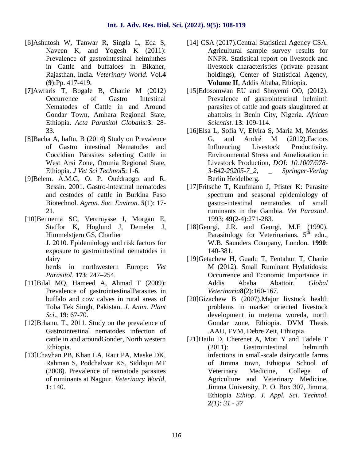- [6]Ashutosh W, Tanwar R, Singla L, Eda S, Naveen K, and Yogesh K (2011): Prevalence of gastrointestinal helminthes in Cattle and buffaloes in Bikaner, Rajasthan, India. *Veterinary World*. Vol**.4** (**9**):Pp. 417-419.
- **[7]**Awraris T, Bogale B, Chanie M (2012) Occurrence of Gastro Intestinal Nematodes of Cattle in and Around Gondar Town, Amhara Regional State, Ethiopia. *Acta Parasitol Globalis:***3**: 28- 33.
- [8]Bacha A, haftu, B (2014) Study on Prevalence of Gastro intestinal Nematodes and Coccidian Parasites selecting Cattle in West Arsi Zone, Oromia Regional State, Ethiopia. *J Vet Sci Technol***5**: 1-6.
- [9]Belem. A.M.G, O. P. Ouédraogo and R. Bessin. 2001. Gastro-intestinal nematodes and cestodes of cattle in Burkina Faso Biotechnol. *Agron. Soc. Environ*. **5**(1): 17- 21.
- [10]Bennema SC, Vercruysse J, Morgan E, Staffor K, Hoglund J, Demeler J, Himmelstjern GS, Charlier J. 2010. Epidemiology and risk factors for exposure to gastrointestinal nematodes in dairy herds in northwestern Europe: *Vet Parasitol*. **173**: 247–254.
- [11]Bilal MQ, Hameed A, Ahmad T (2009): Prevalence of gastrointestinalParasites in buffalo and cow calves in rural areas of Toba Tek Singh, Pakistan. *J. Anim. Plant Sci*., **19**: 67-70.
- [12]Brhanu, T., 2011. Study on the prevalence of Gastrointestinal nematodes infection of cattle in and aroundGonder, North western Ethiopia.
- [13]Chavhan PB, Khan LA, Raut PA, Maske DK, Rahman S, Podchalwar KS, Siddiqui MF (2008). Prevalence of nematode parasites of ruminants at Nagpur. *Veterinary World*, **1**: 140.
- [14] CSA (2017). Central Statistical Agency CSA. Agricultural sample survey results for NNPR. Statistical report on livestock and livestock characteristics (private peasant holdings), Center of Statistical Agency, **Volume II**, Addis Ababa, Ethiopia.
- [15]Edosomwan EU and Shoyemi OO, (2012). Prevalence of gastrointestinal helminth parasites of cattle and goats slaughtered at abattoirs in Benin City, Nigeria. *African Scientist.* **13**: 109-114.
- [16]Elsa L, Sofia V, Elvira S, Maria M, Mendes G, and André M (2012).Factors Influencing Livestock Productivity. Environmental Stress and Amelioration in Livestock Production, *DOI: 10.1007/978- 3-642-29205-7\_2, \_ Springer-Verlag* Berlin Heidelberg.
- [17]Fritsche T, Kaufmann J, Pfister K: Parasite spectrum and seasonal epidemiology of gastro-intestinal nematodes of small ruminants in the Gambia. *Vet Parasitol*. 1993; **49(**2-4):271-283.
- [18]Georgi, J.R. and Georgi, M.E (1990). Parasitology for Veterinarians.  $5<sup>th</sup>$  edn., W.B. Saunders Company, London. **1990**: 140-381.
- [19]Getachew H, Guadu T, Fentahun T, Chanie M (2012). Small Ruminant Hydatidosis: Occurrence and Economic Importance in Addis Ababa Abattoir*. Global Veterinaria***8(**2):160-167.
- [20]Gizachew B (2007).Major livstock health problems in market oriented livestock development in metema woreda, north Gondar zone, Ethiopia. DVM Thesis .AAU, FVM, Debre Zeit, Ethiopia.
- [21]Hailu D, Cherenet A, Moti Y and Tadele T (2011): Gastrointestinal helminth infections in small-scale dairycattle farms of Jimma town, Ethiopia School of Veterinary Medicine, College of Agriculture and Veterinary Medicine, Jimma University, P. O. Box 307, Jimma, Ethiopia *Ethiop. J. Appl. Sci. Technol.* **2***(1): 31 - 37*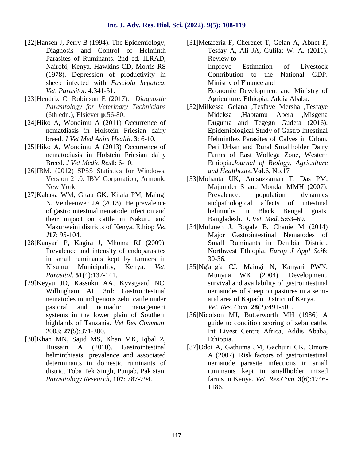- [22]Hansen J, Perry B (1994). The Epidemiology, Diagnosis and Control of Helminth Parasites of Ruminants. 2nd ed. ILRAD, Nairobi, Kenya. Hawkins CD, Morris RS (1978). Depression of productivity in sheep infected with *Fasciola hepatica. Vet. Parasitol*. **4**:341-51.
- [23]Hendrix C, Robinson E (2017). *Diagnostic Parasitology for Veterinary Technicians* (6th edn.), Elsiever **p**:56-80.
- [24]Hiko A, Wondimu A (2011) Occurrence of nematdiasis in Holstein Friesian dairy breed. *J Vet Med Anim Health*. **3**: 6-10.
- [25]Hiko A, Wondimu A (2013) Occurrence of nematodiasis in Holstein Friesian dairy Breed. *J Vet Medic Res***1**: 6-10.
- [26]IBM. (2012) SPSS Statistics for Windows, Version 21.0. IBM Corporation, Armonk, New York
- [27]Kabaka WM, Gitau GK, Kitala PM, Maingi N, Venleeuwen JA  $(2013)$  t e prevalence of gastro intestinal nematode infection and their impact on cattle in Nakuru and Makurweini districts of Kenya. Ethiop *Vet J***17**: 95-104.
- [28]Kanyari P, Kagira J, Mhoma RJ (2009). Prevalence and intensity of endoparasites in small ruminants kept by farmers in Kisumu Municipality, Kenya. *Vet. Parasitol*. **51(**4):137-141.
- [29]Keyyu JD, Kassuku AA, Kyvsgaard NC, Willingham AL 3rd: Gastrointestinal nematodes in indigenous zebu cattle under pastoral and nomadic management systems in the lower plain of Southern highlands of Tanzania. *Vet Res Commun*. 2003; **27(**5):371-380.
- [30]Khan MN, Sajid MS, Khan MK, Iqbal Z, Hussain A (2010). Gastrointestinal helminthiasis: prevalence and associated determinants in domestic ruminants of district Toba Tek Singh, Punjab, Pakistan. *Parasitology Research,* **107**: 787-794.

[31]Metaferia F, Cherenet T, Gelan A, Abnet F, Tesfay A, Ali JA, Gulilat W. A. (2011). Review to Improve Estimation of Livestock Contribution to the National GDP.

Ministry of Finance and Economic Development and Ministry of

Agriculture. Ethiopia: Addia Ababa.

- [32]Milkessa Gelana ,Tesfaye Mersha ,Tesfaye Mideksa ,Habtamu Abera ,Misgena Duguma and Tegegn Gudeta (2016). Epidemiological Study of Gastro Intestinal Helminthes Parasites of Calves in Urban, Peri Urban and Rural Smallholder Dairy Farms of East Wollega Zone, Western Ethiopia**.***Journal of Biology, Agriculture and Healthcare.***Vol**.6, No.17
- [33]Mohanta UK, Anisuzzaman T, Das PM, Majumder S and Mondal MMH (2007). Prevalence, population dynamics andpathological affects of intestinal helminths in Black Bengal goats. Bangladesh. *J. Vet. Med*. **5**:63–69.
- [34]Muluneh J, Bogale B, Chanie M (2014) Major Gastrointestinal Nematodes of Small Ruminants in Dembia District, Northwest Ethiopia. *Europ J Appl Sci***6**: 30-36.
- [35]Ng'ang'a CJ, Maingi N, Kanyari PWN, Munyua WK (2004). Development, survival and availability of gastrointestinal nematodes of sheep on pastures in a semi arid area of Kajiado District of Kenya. *Vet. Res. Com*. **28**(2)*:*491-501.
- [36]Nicolson MJ, Butterworth MH (1986) A guide to condition scoring of zebu cattle. Int Livest Centre Africa, Addis Ababa, Ethiopia.
- [37]Odoi A, Gathuma JM, Gachuiri CK, Omore A (2007). Risk factors of gastrointestinal nematode parasite infections in small ruminants kept in smallholder mixed farms in Kenya*. Vet. Res.Com*. **3**(6):1746- 1186.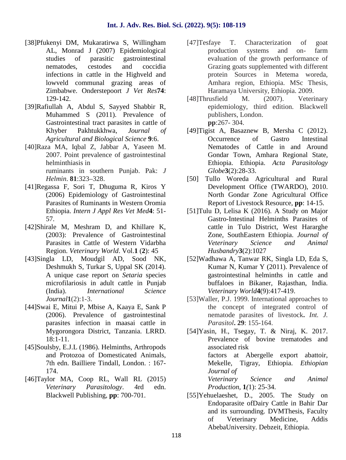- [38]Pfukenyi DM, Mukaratirwa S, Willingham AL, Monrad J (2007) Epidemiological studies of parasitic gastrointestinal nematodes, cestodes and coccidia infections in cattle in the Highveld and lowveld communal grazing areas of Zimbabwe. Onderstepoort *J Vet Res***74**: 129-142.
- [39]Rafiullah A, Abdul S, Sayyed Shabbir R, Muhammed S (2011). Prevalence of Gastrointestinal tract parasites in cattle of Khyber Pakhtukkhwa, *Journal of Agricultural and Biological Science* **9**:6.
- [40]Raza MA, Iqbal Z, Jabbar A, Yaseen M. 2007. Point prevalence of gastrointestinal helminthiasis in ruminants in southern Punjab. Pak: *J Helmin*. **81**:323–328.
- [41]Regassa F, Sori T, Dhuguma R, Kiros Y (2006) Epidemiology of Gastrointestinal Parasites of Ruminants in Western Oromia Ethiopia. *Intern J Appl Res Vet Med***4**: 51- 57.
- [42]Shirale M, Meshram D, and Khillare K, (2003): Prevalence of Gastrointestinal Parasites in Cattle of Western Vidarbha Region. *Veterinary World*. Vol.**1** (**2**): 45
- [43]Singla LD, Moudgil AD, Sood NK, Deshmukh S, Turkar S, Uppal SK (2014). A unique case report on *Setaria* species microfilariosis in adult cattle in Punjab (India). *International Science Journal***1**(2):1-3.
- [44]Swai E, Mitui P, Mbise A, Kaaya E, Sank P (2006). Prevalence of gastrointestinal parasites infection in maasai cattle in Mygorongora District, Tanzania. LRRD. 18:1-11.
- [45]Soulsby, E.J.L (1986). Helminths, Arthropods and Protozoa of Domesticated Animals, 7th edn. Bailliere Tindall, London. : 167- 174.
- [46]Taylor MA, Coop RL, Wall RL (2015) *Veterinary Parasitology*. 4rd edn. Blackwell Publishing, **pp**: 700-701.
- [47]Tesfaye T. Characterization of goat production systems and on- farm evaluation of the growth performance of Grazing goats supplemented with different protein Sources in Metema woreda, Amhara region, Ethiopia. MSc Thesis, Haramaya University, Ethiopia. 2009.
- [48]Thrusfield M. (2007). Veterinary epidemiology, third edition. Blackwell publishers, London. **pp**:267- 304.
- [49]Tigist A, Basaznew B, Mersha C (2012). Occurrence of Gastro Intestinal Nematodes of Cattle in and Around Gondar Town, Amhara Regional State, Ethiopia. Ethiopia. *Acta Parasitology Globe***3**(2):28-33.
- [50] Tullo Woreda Agricultural and Rural Development Office (TWARDO), 2010. North Gondar Zone Agricultural Office Report of Livestock Resource, **pp**: 14-15.
- [51]Tulu D, Lelisa K (2016). A Study on Major Gastro-Intestinal Helminths Parasites of cattle in Tulo District, West Hararghe Zone, SouthEastern Ethiopia. *Journal of Veterinary Science and Animal Husbandry***3**(2):1027
- [52]Wadhawa A, Tanwar RK, Singla LD, Eda S, Kumar N, Kumar Y (2011). Prevalence of gastrointestinal helminths in cattle and buffaloes in Bikaner, Rajasthan, India. *Veterinary World***4**(9):417-419.
- [53] Waller, P.J. 1999. International approaches to the concept of integrated control of nematode parasites of livestock**.** *Int. J. Parasitol***. 29**: 155-164.
- [54]Yasin, H., Tsegay, T. & Niraj, K. 2017. Prevalence of bovine trematodes and associated risk factors at Abergelle export abattoir, Mekelle, Tigray, Ethiopia. *Ethiopian Journal of Veterinary Science and Animal*

*Production,* **1***(*1): 25-34.

[55]Yehuelaeshet, D., 2005. The Study on Endoparasite ofDairy Cattle in Bahir Dar and its surrounding. DVMThesis, Faculty of Veterinary Medicine, Addis AbebaUniversity. Debzeit, Ethiopia.